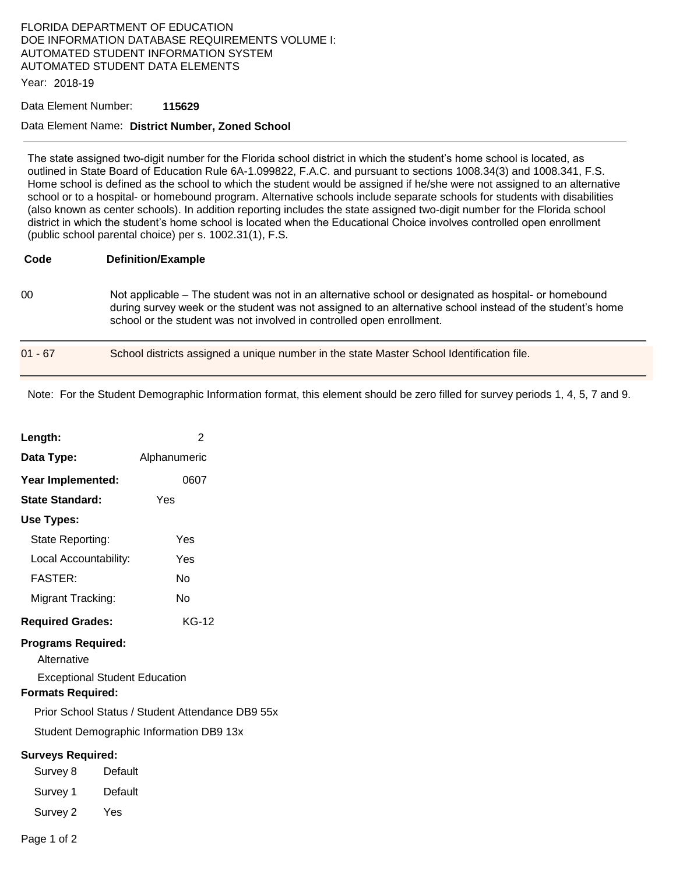## FLORIDA DEPARTMENT OF EDUCATION DOE INFORMATION DATABASE REQUIREMENTS VOLUME I: AUTOMATED STUDENT INFORMATION SYSTEM AUTOMATED STUDENT DATA ELEMENTS

Year: 2018-19

#### Data Element Number: **115629**

### Data Element Name: **District Number, Zoned School**

The state assigned two-digit number for the Florida school district in which the student's home school is located, as outlined in State Board of Education Rule 6A-1.099822, F.A.C. and pursuant to sections 1008.34(3) and 1008.341, F.S. Home school is defined as the school to which the student would be assigned if he/she were not assigned to an alternative school or to a hospital- or homebound program. Alternative schools include separate schools for students with disabilities (also known as center schools). In addition reporting includes the state assigned two-digit number for the Florida school district in which the student's home school is located when the Educational Choice involves controlled open enrollment (public school parental choice) per s. 1002.31(1), F.S.

#### **Code Definition/Example**

00 Not applicable – The student was not in an alternative school or designated as hospital- or homebound during survey week or the student was not assigned to an alternative school instead of the student's home school or the student was not involved in controlled open enrollment.

| 01 - 67 | School districts assigned a unique number in the state Master School Identification file. |  |
|---------|-------------------------------------------------------------------------------------------|--|
|         |                                                                                           |  |

Note: For the Student Demographic Information format, this element should be zero filled for survey periods 1, 4, 5, 7 and 9.

| Length:                                          | 2            |  |  |  |  |
|--------------------------------------------------|--------------|--|--|--|--|
| Data Type:                                       | Alphanumeric |  |  |  |  |
| Year Implemented:                                | 0607         |  |  |  |  |
| <b>State Standard:</b>                           | Yes          |  |  |  |  |
| Use Types:                                       |              |  |  |  |  |
| State Reporting:                                 | Yes          |  |  |  |  |
| Local Accountability:                            | Yes          |  |  |  |  |
| <b>FASTER:</b>                                   | N٥           |  |  |  |  |
| Migrant Tracking:                                | N٥           |  |  |  |  |
| <b>Required Grades:</b>                          | $KG-12$      |  |  |  |  |
| <b>Programs Required:</b><br>Alternative         |              |  |  |  |  |
| <b>Exceptional Student Education</b>             |              |  |  |  |  |
| <b>Formats Required:</b>                         |              |  |  |  |  |
| Prior School Status / Student Attendance DB9 55x |              |  |  |  |  |
| Student Demographic Information DB9 13x          |              |  |  |  |  |
| <b>Surveys Required:</b>                         |              |  |  |  |  |
| Survey 8                                         | Default      |  |  |  |  |
| Survey 1                                         | Default      |  |  |  |  |
| Survey 2<br>Yes                                  |              |  |  |  |  |